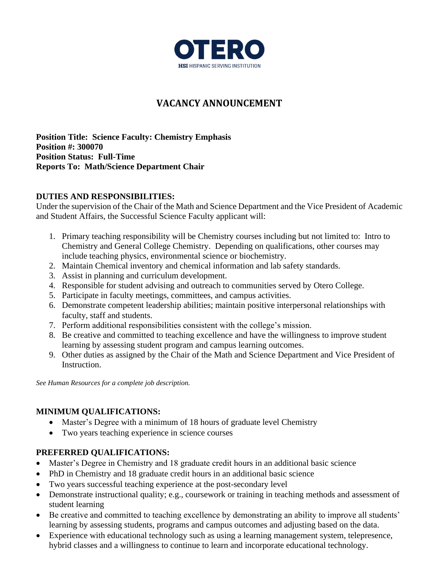

# **VACANCY ANNOUNCEMENT**

**Position Title: Science Faculty: Chemistry Emphasis Position #: 300070 Position Status: Full-Time Reports To: Math/Science Department Chair**

### **DUTIES AND RESPONSIBILITIES:**

Under the supervision of the Chair of the Math and Science Department and the Vice President of Academic and Student Affairs, the Successful Science Faculty applicant will:

- 1. Primary teaching responsibility will be Chemistry courses including but not limited to: Intro to Chemistry and General College Chemistry. Depending on qualifications, other courses may include teaching physics, environmental science or biochemistry.
- 2. Maintain Chemical inventory and chemical information and lab safety standards.
- 3. Assist in planning and curriculum development.
- 4. Responsible for student advising and outreach to communities served by Otero College.
- 5. Participate in faculty meetings, committees, and campus activities.
- 6. Demonstrate competent leadership abilities; maintain positive interpersonal relationships with faculty, staff and students.
- 7. Perform additional responsibilities consistent with the college's mission.
- 8. Be creative and committed to teaching excellence and have the willingness to improve student learning by assessing student program and campus learning outcomes.
- 9. Other duties as assigned by the Chair of the Math and Science Department and Vice President of Instruction.

*See Human Resources for a complete job description.*

## **MINIMUM QUALIFICATIONS:**

- Master's Degree with a minimum of 18 hours of graduate level Chemistry
- Two years teaching experience in science courses

## **PREFERRED QUALIFICATIONS:**

- Master's Degree in Chemistry and 18 graduate credit hours in an additional basic science
- PhD in Chemistry and 18 graduate credit hours in an additional basic science
- Two years successful teaching experience at the post-secondary level
- Demonstrate instructional quality; e.g., coursework or training in teaching methods and assessment of student learning
- Be creative and committed to teaching excellence by demonstrating an ability to improve all students' learning by assessing students, programs and campus outcomes and adjusting based on the data.
- Experience with educational technology such as using a learning management system, telepresence, hybrid classes and a willingness to continue to learn and incorporate educational technology.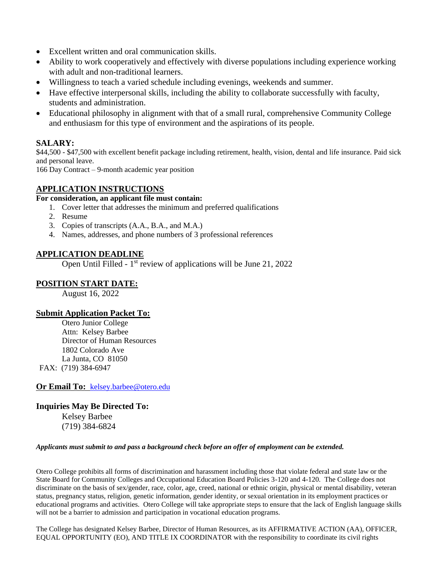- Excellent written and oral communication skills.
- Ability to work cooperatively and effectively with diverse populations including experience working with adult and non-traditional learners.
- Willingness to teach a varied schedule including evenings, weekends and summer.
- Have effective interpersonal skills, including the ability to collaborate successfully with faculty, students and administration.
- Educational philosophy in alignment with that of a small rural, comprehensive Community College and enthusiasm for this type of environment and the aspirations of its people.

### **SALARY:**

\$44,500 - \$47,500 with excellent benefit package including retirement, health, vision, dental and life insurance. Paid sick and personal leave.

166 Day Contract – 9-month academic year position

#### **APPLICATION INSTRUCTIONS**

#### **For consideration, an applicant file must contain:**

- 1. Cover letter that addresses the minimum and preferred qualifications
- 2. Resume
- 3. Copies of transcripts (A.A., B.A., and M.A.)
- 4. Names, addresses, and phone numbers of 3 professional references

#### **APPLICATION DEADLINE**

Open Until Filled - 1<sup>st</sup> review of applications will be June 21, 2022

### **POSITION START DATE:**

August 16, 2022

#### **Submit Application Packet To:**

Otero Junior College Attn: Kelsey Barbee Director of Human Resources 1802 Colorado Ave La Junta, CO 81050 FAX: (719) 384-6947

**Or Email To:** [kelsey.barbee@otero.edu](mailto:kelsey.barbee@otero.edu)

### **Inquiries May Be Directed To:** Kelsey Barbee

(719) 384-6824

#### *Applicants must submit to and pass a background check before an offer of employment can be extended.*

Otero College prohibits all forms of discrimination and harassment including those that violate federal and state law or the State Board for Community Colleges and Occupational Education Board Policies 3-120 and 4-120. The College does not discriminate on the basis of sex/gender, race, color, age, creed, national or ethnic origin, physical or mental disability, veteran status, pregnancy status, religion, genetic information, gender identity, or sexual orientation in its employment practices or educational programs and activities. Otero College will take appropriate steps to ensure that the lack of English language skills will not be a barrier to admission and participation in vocational education programs.

The College has designated Kelsey Barbee, Director of Human Resources, as its AFFIRMATIVE ACTION (AA), OFFICER, EQUAL OPPORTUNITY (EO), AND TITLE IX COORDINATOR with the responsibility to coordinate its civil rights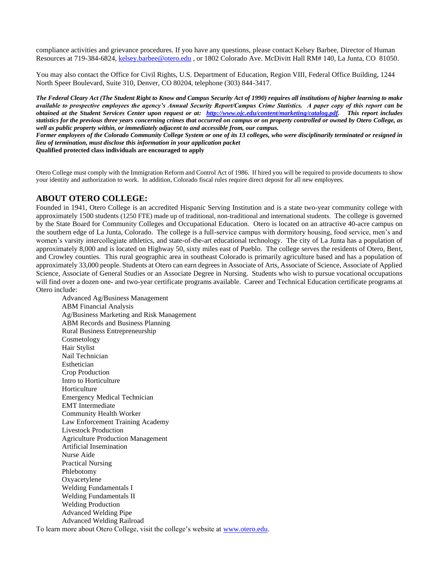compliance activities and grievance procedures. If you have any questions, please contact Kelsey Barbee, Director of Human Resources at 719-384-6824, [kelsey.barbee@otero.edu](mailto:kelsey.barbee@otero.edu) , or 1802 Colorado Ave. McDivitt Hall RM# 140, La Junta, CO 81050.

You may also contact the Office for Civil Rights, U.S. Department of Education, Region VIII, Federal Office Building, 1244 North Speer Boulevard, Suite 310, Denver, CO 80204, telephone (303) 844-3417.

*The Federal Cleary Act (The Student Right to Know and Campus Security Act of 1990) requires all institutions of higher learning to make available to prospective employees the agency's Annual Security Report/Campus Crime Statistics. A paper copy of this report can be obtained at the Student Services Center upon request or at: [http://www.ojc.edu/content/marketing/catalog.pdf.](http://www.ojc.edu/content/marketing/catalog.pdf) This report includes statistics for the previous three years concerning crimes that occurred on campus or on property controlled or owned by Otero College, as well as public property within, or immediately adjacent to and accessible from, our campus.*

*Former employees of the Colorado Community College System or one of its 13 colleges, who were disciplinarily terminated or resigned in lieu of termination, must disclose this information in your application packet*

**Qualified protected class individuals are encouraged to apply**

Otero College must comply with the Immigration Reform and Control Act of 1986. If hired you will be required to provide documents to show your identity and authorization to work. In addition, Colorado fiscal rules require direct deposit for all new employees.

#### **ABOUT OTERO COLLEGE:**

Founded in 1941, Otero College is an accredited Hispanic Serving Institution and is a state two-year community college with approximately 1500 students (1250 FTE) made up of traditional, non-traditional and international students. The college is governed by the State Board for Community Colleges and Occupational Education. Otero is located on an attractive 40-acre campus on the southern edge of La Junta, Colorado. The college is a full-service campus with dormitory housing, food service, men's and women's varsity intercollegiate athletics, and state-of-the-art educational technology. The city of La Junta has a population of approximately 8,000 and is located on Highway 50, sixty miles east of Pueblo. The college serves the residents of Otero, Bent, and Crowley counties. This rural geographic area in southeast Colorado is primarily agriculture based and has a population of approximately 33,000 people. Students at Otero can earn degrees in Associate of Arts, Associate of Science, Associate of Applied Science, Associate of General Studies or an Associate Degree in Nursing. Students who wish to pursue vocational occupations will find over a dozen one- and two-year certificate programs available. Career and Technical Education certificate programs at Otero include:

Advanced Ag/Business Management ABM Financial Analysis Ag/Business Marketing and Risk Management ABM Records and Business Planning Rural Business Entrepreneurship Cosmetology Hair Stylist Nail Technician Esthetician Crop Production Intro to Horticulture **Horticulture** Emergency Medical Technician EMT Intermediate Community Health Worker Law Enforcement Training Academy Livestock Production Agriculture Production Management Artificial Insemination Nurse Aide Practical Nursing Phlebotomy Oxyacetylene Welding Fundamentals I Welding Fundamentals II Welding Production Advanced Welding Pipe Advanced Welding Railroad To learn more about Otero College, visit the college's website at www.otero.edu.